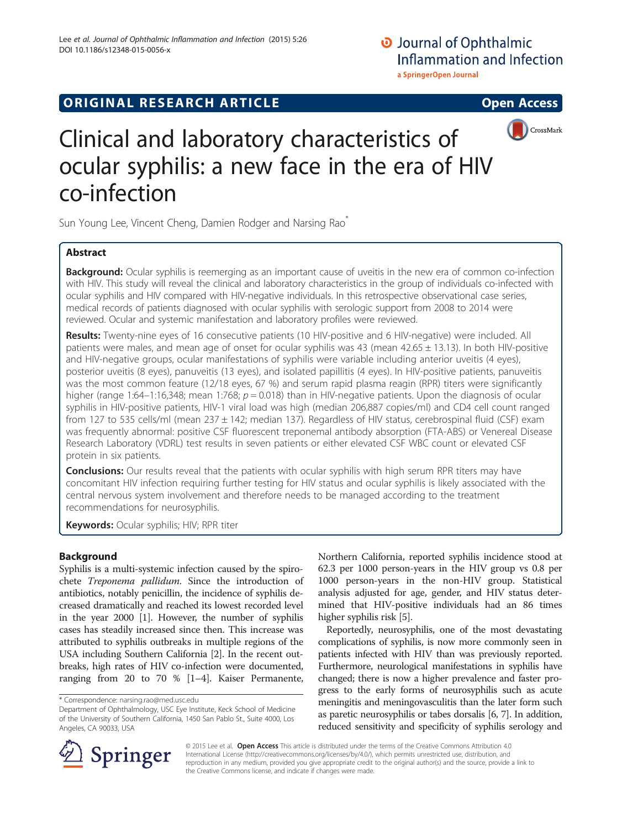# **ORIGINAL RESEARCH ARTICLE CONSUMING ACCESS**



# Clinical and laboratory characteristics of ocular syphilis: a new face in the era of HIV co-infection

Sun Young Lee, Vincent Cheng, Damien Rodger and Narsing Rao<sup>®</sup>

# Abstract

**Background:** Ocular syphilis is reemerging as an important cause of uveitis in the new era of common co-infection with HIV. This study will reveal the clinical and laboratory characteristics in the group of individuals co-infected with ocular syphilis and HIV compared with HIV-negative individuals. In this retrospective observational case series, medical records of patients diagnosed with ocular syphilis with serologic support from 2008 to 2014 were reviewed. Ocular and systemic manifestation and laboratory profiles were reviewed.

Results: Twenty-nine eyes of 16 consecutive patients (10 HIV-positive and 6 HIV-negative) were included. All patients were males, and mean age of onset for ocular syphilis was 43 (mean  $42.65 \pm 13.13$ ). In both HIV-positive and HIV-negative groups, ocular manifestations of syphilis were variable including anterior uveitis (4 eyes), posterior uveitis (8 eyes), panuveitis (13 eyes), and isolated papillitis (4 eyes). In HIV-positive patients, panuveitis was the most common feature (12/18 eyes, 67 %) and serum rapid plasma reagin (RPR) titers were significantly higher (range 1:64–1:16,348; mean 1:768;  $p = 0.018$ ) than in HIV-negative patients. Upon the diagnosis of ocular syphilis in HIV-positive patients, HIV-1 viral load was high (median 206,887 copies/ml) and CD4 cell count ranged from 127 to 535 cells/ml (mean 237 ± 142; median 137). Regardless of HIV status, cerebrospinal fluid (CSF) exam was frequently abnormal: positive CSF fluorescent treponemal antibody absorption (FTA-ABS) or Venereal Disease Research Laboratory (VDRL) test results in seven patients or either elevated CSF WBC count or elevated CSF protein in six patients.

**Conclusions:** Our results reveal that the patients with ocular syphilis with high serum RPR titers may have concomitant HIV infection requiring further testing for HIV status and ocular syphilis is likely associated with the central nervous system involvement and therefore needs to be managed according to the treatment recommendations for neurosyphilis.

Keywords: Ocular syphilis; HIV; RPR titer

## Background

Syphilis is a multi-systemic infection caused by the spirochete Treponema pallidum. Since the introduction of antibiotics, notably penicillin, the incidence of syphilis decreased dramatically and reached its lowest recorded level in the year 2000 [\[1](#page-5-0)]. However, the number of syphilis cases has steadily increased since then. This increase was attributed to syphilis outbreaks in multiple regions of the USA including Southern California [[2\]](#page-5-0). In the recent outbreaks, high rates of HIV co-infection were documented, ranging from 20 to 70 % [\[1](#page-5-0)–[4\]](#page-5-0). Kaiser Permanente,

Northern California, reported syphilis incidence stood at 62.3 per 1000 person-years in the HIV group vs 0.8 per 1000 person-years in the non-HIV group. Statistical analysis adjusted for age, gender, and HIV status determined that HIV-positive individuals had an 86 times higher syphilis risk [\[5](#page-5-0)].

Reportedly, neurosyphilis, one of the most devastating complications of syphilis, is now more commonly seen in patients infected with HIV than was previously reported. Furthermore, neurological manifestations in syphilis have changed; there is now a higher prevalence and faster progress to the early forms of neurosyphilis such as acute meningitis and meningovasculitis than the later form such as paretic neurosyphilis or tabes dorsalis [\[6](#page-5-0), [7\]](#page-5-0). In addition, reduced sensitivity and specificity of syphilis serology and



© 2015 Lee et al. Open Access This article is distributed under the terms of the Creative Commons Attribution 4.0 International License ([http://creativecommons.org/licenses/by/4.0/\)](http://creativecommons.org/licenses/by/4.0/), which permits unrestricted use, distribution, and reproduction in any medium, provided you give appropriate credit to the original author(s) and the source, provide a link to the Creative Commons license, and indicate if changes were made.

<sup>\*</sup> Correspondence: [narsing.rao@med.usc.edu](mailto:narsing.rao@med.usc.edu)

Department of Ophthalmology, USC Eye Institute, Keck School of Medicine of the University of Southern California, 1450 San Pablo St., Suite 4000, Los Angeles, CA 90033, USA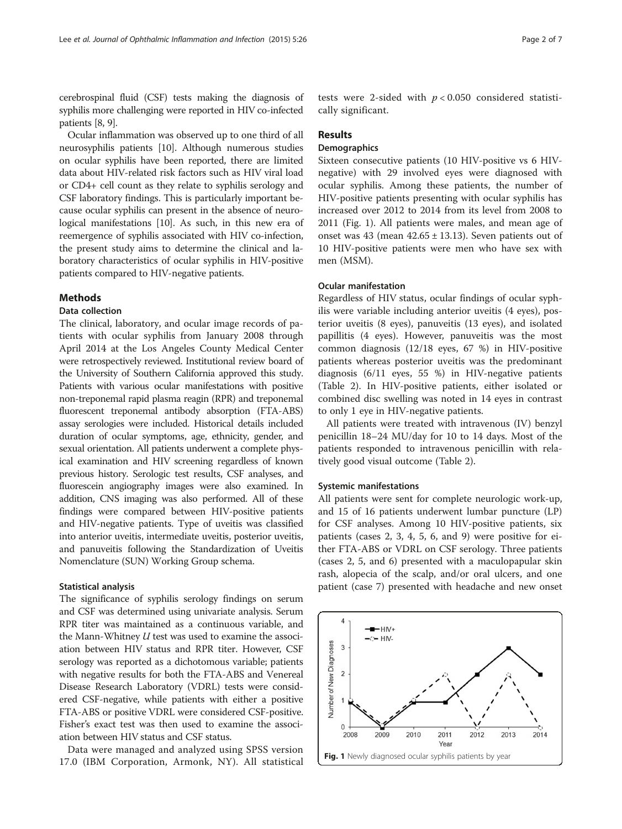<span id="page-1-0"></span>cerebrospinal fluid (CSF) tests making the diagnosis of syphilis more challenging were reported in HIV co-infected patients [\[8](#page-5-0), [9\]](#page-5-0).

Ocular inflammation was observed up to one third of all neurosyphilis patients [\[10](#page-5-0)]. Although numerous studies on ocular syphilis have been reported, there are limited data about HIV-related risk factors such as HIV viral load or CD4+ cell count as they relate to syphilis serology and CSF laboratory findings. This is particularly important because ocular syphilis can present in the absence of neurological manifestations [[10](#page-5-0)]. As such, in this new era of reemergence of syphilis associated with HIV co-infection, the present study aims to determine the clinical and laboratory characteristics of ocular syphilis in HIV-positive patients compared to HIV-negative patients.

#### Methods

### Data collection

The clinical, laboratory, and ocular image records of patients with ocular syphilis from January 2008 through April 2014 at the Los Angeles County Medical Center were retrospectively reviewed. Institutional review board of the University of Southern California approved this study. Patients with various ocular manifestations with positive non-treponemal rapid plasma reagin (RPR) and treponemal fluorescent treponemal antibody absorption (FTA-ABS) assay serologies were included. Historical details included duration of ocular symptoms, age, ethnicity, gender, and sexual orientation. All patients underwent a complete physical examination and HIV screening regardless of known previous history. Serologic test results, CSF analyses, and fluorescein angiography images were also examined. In addition, CNS imaging was also performed. All of these findings were compared between HIV-positive patients and HIV-negative patients. Type of uveitis was classified into anterior uveitis, intermediate uveitis, posterior uveitis, and panuveitis following the Standardization of Uveitis Nomenclature (SUN) Working Group schema.

#### Statistical analysis

The significance of syphilis serology findings on serum and CSF was determined using univariate analysis. Serum RPR titer was maintained as a continuous variable, and the Mann-Whitney  $U$  test was used to examine the association between HIV status and RPR titer. However, CSF serology was reported as a dichotomous variable; patients with negative results for both the FTA-ABS and Venereal Disease Research Laboratory (VDRL) tests were considered CSF-negative, while patients with either a positive FTA-ABS or positive VDRL were considered CSF-positive. Fisher's exact test was then used to examine the association between HIV status and CSF status.

Data were managed and analyzed using SPSS version 17.0 (IBM Corporation, Armonk, NY). All statistical

tests were 2-sided with  $p < 0.050$  considered statistically significant.

## Results

### **Demographics**

Sixteen consecutive patients (10 HIV-positive vs 6 HIVnegative) with 29 involved eyes were diagnosed with ocular syphilis. Among these patients, the number of HIV-positive patients presenting with ocular syphilis has increased over 2012 to 2014 from its level from 2008 to 2011 (Fig. 1). All patients were males, and mean age of onset was 43 (mean  $42.65 \pm 13.13$ ). Seven patients out of 10 HIV-positive patients were men who have sex with men (MSM).

#### Ocular manifestation

Regardless of HIV status, ocular findings of ocular syphilis were variable including anterior uveitis (4 eyes), posterior uveitis (8 eyes), panuveitis (13 eyes), and isolated papillitis (4 eyes). However, panuveitis was the most common diagnosis (12/18 eyes, 67 %) in HIV-positive patients whereas posterior uveitis was the predominant diagnosis (6/11 eyes, 55 %) in HIV-negative patients (Table [2\)](#page-4-0). In HIV-positive patients, either isolated or combined disc swelling was noted in 14 eyes in contrast to only 1 eye in HIV-negative patients.

All patients were treated with intravenous (IV) benzyl penicillin 18–24 MU/day for 10 to 14 days. Most of the patients responded to intravenous penicillin with relatively good visual outcome (Table [2](#page-4-0)).

#### Systemic manifestations

All patients were sent for complete neurologic work-up, and 15 of 16 patients underwent lumbar puncture (LP) for CSF analyses. Among 10 HIV-positive patients, six patients (cases 2, 3, 4, 5, 6, and 9) were positive for either FTA-ABS or VDRL on CSF serology. Three patients (cases 2, 5, and 6) presented with a maculopapular skin rash, alopecia of the scalp, and/or oral ulcers, and one patient (case 7) presented with headache and new onset

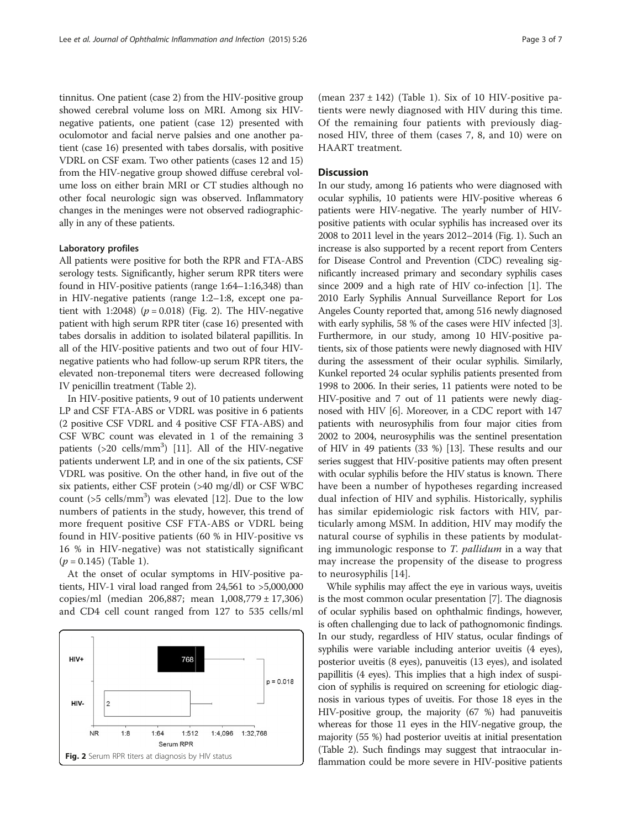tinnitus. One patient (case 2) from the HIV-positive group showed cerebral volume loss on MRI. Among six HIVnegative patients, one patient (case 12) presented with oculomotor and facial nerve palsies and one another patient (case 16) presented with tabes dorsalis, with positive VDRL on CSF exam. Two other patients (cases 12 and 15) from the HIV-negative group showed diffuse cerebral volume loss on either brain MRI or CT studies although no other focal neurologic sign was observed. Inflammatory changes in the meninges were not observed radiographically in any of these patients.

#### Laboratory profiles

All patients were positive for both the RPR and FTA-ABS serology tests. Significantly, higher serum RPR titers were found in HIV-positive patients (range 1:64–1:16,348) than in HIV-negative patients (range 1:2–1:8, except one patient with 1:2048) ( $p = 0.018$ ) (Fig. 2). The HIV-negative patient with high serum RPR titer (case 16) presented with tabes dorsalis in addition to isolated bilateral papillitis. In all of the HIV-positive patients and two out of four HIVnegative patients who had follow-up serum RPR titers, the elevated non-treponemal titers were decreased following IV penicillin treatment (Table [2\)](#page-4-0).

In HIV-positive patients, 9 out of 10 patients underwent LP and CSF FTA-ABS or VDRL was positive in 6 patients (2 positive CSF VDRL and 4 positive CSF FTA-ABS) and CSF WBC count was elevated in 1 of the remaining 3 patients (>20 cells/mm<sup>3</sup>) [[11](#page-5-0)]. All of the HIV-negative patients underwent LP, and in one of the six patients, CSF VDRL was positive. On the other hand, in five out of the six patients, either CSF protein (>40 mg/dl) or CSF WBC count ( $>5$  cells/mm<sup>3</sup>) was elevated [\[12\]](#page-5-0). Due to the low numbers of patients in the study, however, this trend of more frequent positive CSF FTA-ABS or VDRL being found in HIV-positive patients (60 % in HIV-positive vs 16 % in HIV-negative) was not statistically significant  $(p = 0.145)$  (Table [1](#page-3-0)).

At the onset of ocular symptoms in HIV-positive patients, HIV-1 viral load ranged from 24,561 to >5,000,000 copies/ml (median 206,887; mean 1,008,779 ± 17,306) and CD4 cell count ranged from 127 to 535 cells/ml



(mean  $237 \pm 142$  $237 \pm 142$  $237 \pm 142$ ) (Table 1). Six of 10 HIV-positive patients were newly diagnosed with HIV during this time. Of the remaining four patients with previously diagnosed HIV, three of them (cases 7, 8, and 10) were on HAART treatment.

#### **Discussion**

In our study, among 16 patients who were diagnosed with ocular syphilis, 10 patients were HIV-positive whereas 6 patients were HIV-negative. The yearly number of HIVpositive patients with ocular syphilis has increased over its 2008 to 2011 level in the years 2012–2014 (Fig. [1\)](#page-1-0). Such an increase is also supported by a recent report from Centers for Disease Control and Prevention (CDC) revealing significantly increased primary and secondary syphilis cases since 2009 and a high rate of HIV co-infection [[1](#page-5-0)]. The 2010 Early Syphilis Annual Surveillance Report for Los Angeles County reported that, among 516 newly diagnosed with early syphilis, 58 % of the cases were HIV infected [[3](#page-5-0)]. Furthermore, in our study, among 10 HIV-positive patients, six of those patients were newly diagnosed with HIV during the assessment of their ocular syphilis. Similarly, Kunkel reported 24 ocular syphilis patients presented from 1998 to 2006. In their series, 11 patients were noted to be HIV-positive and 7 out of 11 patients were newly diagnosed with HIV [\[6\]](#page-5-0). Moreover, in a CDC report with 147 patients with neurosyphilis from four major cities from 2002 to 2004, neurosyphilis was the sentinel presentation of HIV in 49 patients (33 %) [[13](#page-5-0)]. These results and our series suggest that HIV-positive patients may often present with ocular syphilis before the HIV status is known. There have been a number of hypotheses regarding increased dual infection of HIV and syphilis. Historically, syphilis has similar epidemiologic risk factors with HIV, particularly among MSM. In addition, HIV may modify the natural course of syphilis in these patients by modulating immunologic response to T. pallidum in a way that may increase the propensity of the disease to progress to neurosyphilis [[14\]](#page-5-0).

While syphilis may affect the eye in various ways, uveitis is the most common ocular presentation [\[7\]](#page-5-0). The diagnosis of ocular syphilis based on ophthalmic findings, however, is often challenging due to lack of pathognomonic findings. In our study, regardless of HIV status, ocular findings of syphilis were variable including anterior uveitis (4 eyes), posterior uveitis (8 eyes), panuveitis (13 eyes), and isolated papillitis (4 eyes). This implies that a high index of suspicion of syphilis is required on screening for etiologic diagnosis in various types of uveitis. For those 18 eyes in the HIV-positive group, the majority (67 %) had panuveitis whereas for those 11 eyes in the HIV-negative group, the majority (55 %) had posterior uveitis at initial presentation (Table [2](#page-4-0)). Such findings may suggest that intraocular in-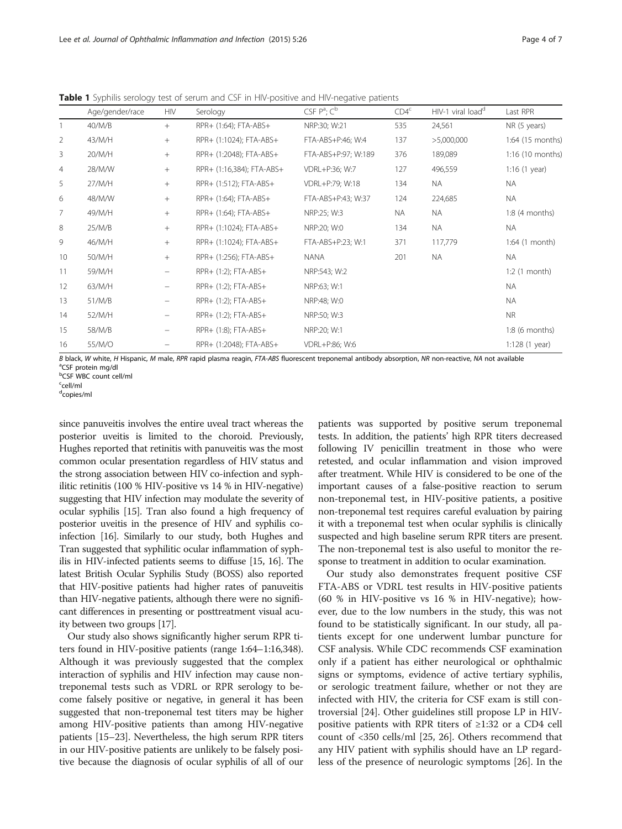|    | Age/gender/race | <b>HIV</b>               | Serology                  | $CSF$ $P^a$ ; $C^b$ | CD4 <sup>c</sup> | HIV-1 viral load <sup>d</sup> | Last RPR         |
|----|-----------------|--------------------------|---------------------------|---------------------|------------------|-------------------------------|------------------|
|    | 40/M/B          | $+$                      | RPR+ (1:64); FTA-ABS+     | NRP:30; W:21        | 535              | 24,561                        | NR (5 years)     |
| 2  | 43/M/H          | $^{+}$                   | RPR+ (1:1024); FTA-ABS+   | FTA-ABS+P:46; W:4   | 137              | >5,000,000                    | 1:64 (15 months) |
| 3  | 20/M/H          | $+$                      | RPR+ (1:2048); FTA-ABS+   | FTA-ABS+P:97; W:189 | 376              | 189,089                       | 1:16 (10 months) |
| 4  | 28/M/W          | $^{+}$                   | RPR+ (1:16,384); FTA-ABS+ | VDRL+P:36; W:7      | 127              | 496,559                       | 1:16 $(1$ year)  |
| 5  | 27/M/H          | $^{+}$                   | RPR+ (1:512); FTA-ABS+    | VDRL+P:79; W:18     | 134              | NA.                           | NA.              |
| 6  | 48/M/W          | $+$                      | RPR+ (1:64); FTA-ABS+     | FTA-ABS+P:43; W:37  | 124              | 224,685                       | <b>NA</b>        |
| 7  | 49/M/H          | $^{+}$                   | RPR+ (1:64); FTA-ABS+     | NRP:25; W:3         | NA.              | NA.                           | $1:8$ (4 months) |
| 8  | 25/M/B          | $^{+}$                   | RPR+ (1:1024); FTA-ABS+   | NRP:20; W:0         | 134              | <b>NA</b>                     | <b>NA</b>        |
| 9  | 46/M/H          | $^{+}$                   | RPR+ (1:1024); FTA-ABS+   | FTA-ABS+P:23; W:1   | 371              | 117,779                       | $1:64$ (1 month) |
| 10 | 50/M/H          | $^{+}$                   | RPR+ (1:256); FTA-ABS+    | NANA                | 201              | NA.                           | NA.              |
| 11 | 59/M/H          | $\qquad \qquad -$        | RPR+ (1:2); FTA-ABS+      | NRP:543; W:2        |                  |                               | 1:2(1 month)     |
| 12 | 63/M/H          | $\qquad \qquad -$        | RPR+ (1:2); FTA-ABS+      | NRP:63; W:1         |                  |                               | NA.              |
| 13 | 51/M/B          | $\qquad \qquad -$        | RPR+ (1:2); FTA-ABS+      | NRP:48; W:0         |                  |                               | <b>NA</b>        |
| 14 | 52/M/H          | $\overline{\phantom{m}}$ | RPR+ (1:2); FTA-ABS+      | NRP:50; W:3         |                  |                               | <b>NR</b>        |
| 15 | 58/M/B          | —                        | RPR+ (1:8); FTA-ABS+      | NRP:20; W:1         |                  |                               | $1:8$ (6 months) |
| 16 | 55/M/O          |                          | RPR+ (1:2048); FTA-ABS+   | VDRL+P:86; W:6      |                  |                               | 1:128 $(1$ year) |

<span id="page-3-0"></span>Table 1 Syphilis serology test of serum and CSF in HIV-positive and HIV-negative patients

B black, W white, H Hispanic, M male, RPR rapid plasma reagin, FTA-ABS fluorescent treponemal antibody absorption, NR non-reactive, NA not available CSF protein mg/dl

b CSF WBC count cell/ml

c cell/ml

d copies/ml

since panuveitis involves the entire uveal tract whereas the posterior uveitis is limited to the choroid. Previously, Hughes reported that retinitis with panuveitis was the most common ocular presentation regardless of HIV status and the strong association between HIV co-infection and syphilitic retinitis (100 % HIV-positive vs 14 % in HIV-negative) suggesting that HIV infection may modulate the severity of ocular syphilis [\[15\]](#page-5-0). Tran also found a high frequency of posterior uveitis in the presence of HIV and syphilis coinfection [\[16\]](#page-5-0). Similarly to our study, both Hughes and Tran suggested that syphilitic ocular inflammation of syphilis in HIV-infected patients seems to diffuse [\[15](#page-5-0), [16](#page-5-0)]. The latest British Ocular Syphilis Study (BOSS) also reported that HIV-positive patients had higher rates of panuveitis than HIV-negative patients, although there were no significant differences in presenting or posttreatment visual acuity between two groups [\[17\]](#page-5-0).

Our study also shows significantly higher serum RPR titers found in HIV-positive patients (range 1:64–1:16,348). Although it was previously suggested that the complex interaction of syphilis and HIV infection may cause nontreponemal tests such as VDRL or RPR serology to become falsely positive or negative, in general it has been suggested that non-treponemal test titers may be higher among HIV-positive patients than among HIV-negative patients [[15](#page-5-0)–[23\]](#page-5-0). Nevertheless, the high serum RPR titers in our HIV-positive patients are unlikely to be falsely positive because the diagnosis of ocular syphilis of all of our patients was supported by positive serum treponemal tests. In addition, the patients' high RPR titers decreased following IV penicillin treatment in those who were retested, and ocular inflammation and vision improved after treatment. While HIV is considered to be one of the important causes of a false-positive reaction to serum non-treponemal test, in HIV-positive patients, a positive non-treponemal test requires careful evaluation by pairing it with a treponemal test when ocular syphilis is clinically suspected and high baseline serum RPR titers are present. The non-treponemal test is also useful to monitor the response to treatment in addition to ocular examination.

Our study also demonstrates frequent positive CSF FTA-ABS or VDRL test results in HIV-positive patients (60 % in HIV-positive vs 16 % in HIV-negative); however, due to the low numbers in the study, this was not found to be statistically significant. In our study, all patients except for one underwent lumbar puncture for CSF analysis. While CDC recommends CSF examination only if a patient has either neurological or ophthalmic signs or symptoms, evidence of active tertiary syphilis, or serologic treatment failure, whether or not they are infected with HIV, the criteria for CSF exam is still controversial [[24\]](#page-5-0). Other guidelines still propose LP in HIVpositive patients with RPR titers of ≥1:32 or a CD4 cell count of <350 cells/ml [[25, 26\]](#page-6-0). Others recommend that any HIV patient with syphilis should have an LP regardless of the presence of neurologic symptoms [\[26](#page-6-0)]. In the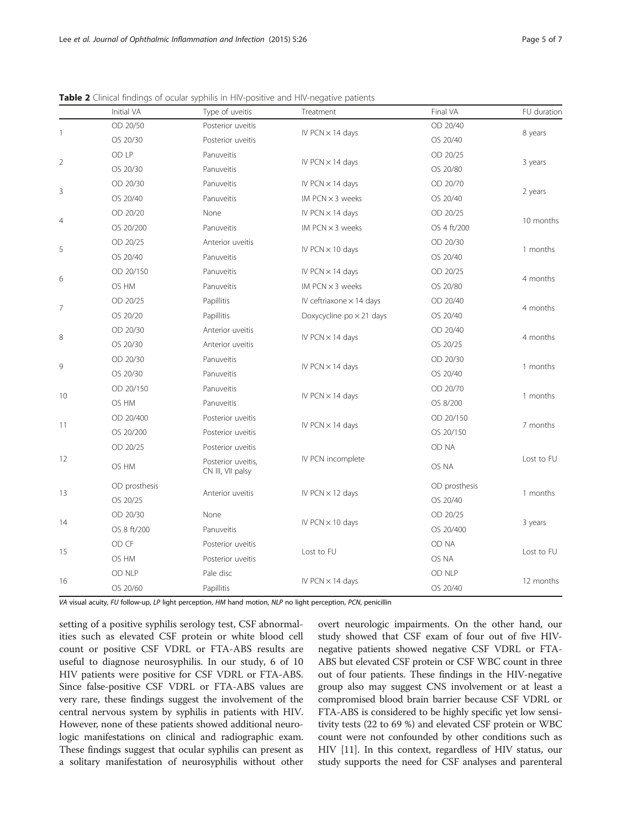|                | Initial VA    | Type of uveitis                         | Treatment                       | Final VA      | FU duration |
|----------------|---------------|-----------------------------------------|---------------------------------|---------------|-------------|
|                | OD 20/50      | Posterior uveitis                       |                                 | OD 20/40      | 8 years     |
| -1             | OS 20/30      | Posterior uveitis                       | IV PCN $\times$ 14 days         | OS 20/40      |             |
|                | OD LP         | Panuveitis                              | IV PCN $\times$ 14 days         | OD 20/25      | 3 years     |
| $\overline{2}$ | OS 20/30      | Panuveitis                              |                                 | OS 20/80      |             |
|                | OD 20/30      | Panuveitis                              | IV PCN $\times$ 14 days         | OD 20/70      | 2 years     |
| 3              | OS 20/40      | Panuveitis                              | IM $PCN \times 3$ weeks         | OS 20/40      |             |
|                | OD 20/20      | None                                    | IV PCN $\times$ 14 days         | OD 20/25      | 10 months   |
| $\overline{4}$ | OS 20/200     | Panuveitis                              | IM $PCN \times 3$ weeks         | OS 4 ft/200   |             |
|                | OD 20/25      | Anterior uveitis                        | IV PCN $\times$ 10 days         | OD 20/30      | 1 months    |
| 5              | OS 20/40      | Panuveitis                              |                                 | OS 20/40      |             |
|                | OD 20/150     | Panuveitis                              | IV PCN $\times$ 14 days         | OD 20/25      | 4 months    |
| 6              | OS HM         | Panuveitis                              | IM $PCN \times 3$ weeks         | OS 20/80      |             |
|                | OD 20/25      | Papillitis                              | IV ceftriaxone $\times$ 14 days | OD 20/40      | 4 months    |
| $\overline{7}$ | OS 20/20      | Papillitis                              | Doxycycline $po \times 21$ days | OS 20/40      |             |
|                | OD 20/30      | Anterior uveitis                        | IV PCN $\times$ 14 days         | OD 20/40      | 4 months    |
| 8              | OS 20/30      | Anterior uveitis                        |                                 | OS 20/25      |             |
|                | OD 20/30      | Panuveitis                              | IV PCN $\times$ 14 days         | OD 20/30      | 1 months    |
| 9              | OS 20/30      | Panuveitis                              |                                 | OS 20/40      |             |
|                | OD 20/150     | Panuveitis                              | IV PCN $\times$ 14 days         | OD 20/70      | 1 months    |
| 10             | OS HM         | Panuveitis                              |                                 | OS 8/200      |             |
|                | OD 20/400     | Posterior uveitis                       | IV PCN $\times$ 14 days         | OD 20/150     | 7 months    |
| 11             | OS 20/200     | Posterior uveitis                       |                                 | OS 20/150     |             |
|                | OD 20/25      | Posterior uveitis                       | IV PCN incomplete               | OD NA         | Lost to FU  |
| 12             | OS HM         | Posterior uveitis,<br>CN III, VII palsy |                                 | OS NA         |             |
| 13             | OD prosthesis | Anterior uveitis                        | IV PCN × 12 days                | OD prosthesis | 1 months    |
|                | OS 20/25      |                                         |                                 | OS 20/40      |             |
| 14             | OD 20/30      | None                                    | IV PCN $\times$ 10 days         | OD 20/25      | 3 years     |
|                | OS 8 ft/200   | Panuveitis                              |                                 | OS 20/400     |             |
| 15             | OD CF         | Posterior uveitis                       | Lost to FU                      | OD NA         | Lost to FU  |
|                | OS HM         | Posterior uveitis                       |                                 | OS NA         |             |
| 16             | OD NLP        | Pale disc                               | IV PCN × 14 days                | OD NLP        | 12 months   |
|                | OS 20/60      | Papillitis                              |                                 | OS 20/40      |             |

<span id="page-4-0"></span>Table 2 Clinical findings of ocular syphilis in HIV-positive and HIV-negative patients

VA visual acuity, FU follow-up, LP light perception, HM hand motion, NLP no light perception, PCN, penicillin

setting of a positive syphilis serology test, CSF abnormalities such as elevated CSF protein or white blood cell count or positive CSF VDRL or FTA-ABS results are useful to diagnose neurosyphilis. In our study, 6 of 10 HIV patients were positive for CSF VDRL or FTA-ABS. Since false-positive CSF VDRL or FTA-ABS values are very rare, these findings suggest the involvement of the central nervous system by syphilis in patients with HIV. However, none of these patients showed additional neurologic manifestations on clinical and radiographic exam. These findings suggest that ocular syphilis can present as a solitary manifestation of neurosyphilis without other overt neurologic impairments. On the other hand, our study showed that CSF exam of four out of five HIVnegative patients showed negative CSF VDRL or FTA-ABS but elevated CSF protein or CSF WBC count in three out of four patients. These findings in the HIV-negative group also may suggest CNS involvement or at least a compromised blood brain barrier because CSF VDRL or FTA-ABS is considered to be highly specific yet low sensitivity tests (22 to 69 %) and elevated CSF protein or WBC count were not confounded by other conditions such as HIV [[11](#page-5-0)]. In this context, regardless of HIV status, our study supports the need for CSF analyses and parenteral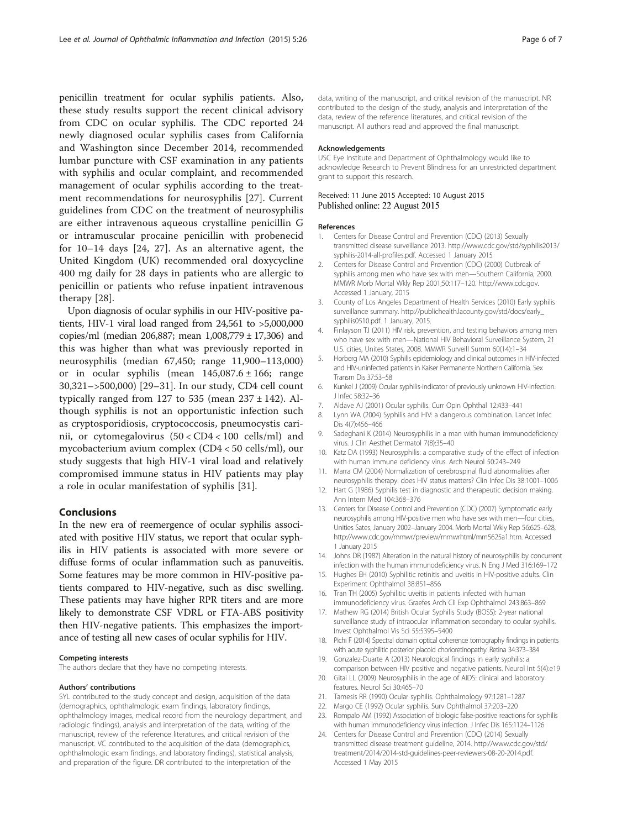<span id="page-5-0"></span>penicillin treatment for ocular syphilis patients. Also, these study results support the recent clinical advisory from CDC on ocular syphilis. The CDC reported 24 newly diagnosed ocular syphilis cases from California and Washington since December 2014, recommended lumbar puncture with CSF examination in any patients with syphilis and ocular complaint, and recommended management of ocular syphilis according to the treatment recommendations for neurosyphilis [\[27](#page-6-0)]. Current guidelines from CDC on the treatment of neurosyphilis are either intravenous aqueous crystalline penicillin G or intramuscular procaine penicillin with probenecid for 10–14 days [24, [27\]](#page-6-0). As an alternative agent, the United Kingdom (UK) recommended oral doxycycline 400 mg daily for 28 days in patients who are allergic to penicillin or patients who refuse inpatient intravenous therapy [[28](#page-6-0)].

Upon diagnosis of ocular syphilis in our HIV-positive patients, HIV-1 viral load ranged from 24,561 to >5,000,000 copies/ml (median 206,887; mean 1,008,779 ± 17,306) and this was higher than what was previously reported in neurosyphilis (median 67,450; range 11,900–113,000) or in ocular syphilis (mean  $145,087.6 \pm 166$ ; range 30,321–>500,000) [[29](#page-6-0)–[31](#page-6-0)]. In our study, CD4 cell count typically ranged from 127 to 535 (mean  $237 \pm 142$ ). Although syphilis is not an opportunistic infection such as cryptosporidiosis, cryptococcosis, pneumocystis carinii, or cytomegalovirus (50 < CD4 < 100 cells/ml) and mycobacterium avium complex (CD4 < 50 cells/ml), our study suggests that high HIV-1 viral load and relatively compromised immune status in HIV patients may play a role in ocular manifestation of syphilis [[31\]](#page-6-0).

## Conclusions

In the new era of reemergence of ocular syphilis associated with positive HIV status, we report that ocular syphilis in HIV patients is associated with more severe or diffuse forms of ocular inflammation such as panuveitis. Some features may be more common in HIV-positive patients compared to HIV-negative, such as disc swelling. These patients may have higher RPR titers and are more likely to demonstrate CSF VDRL or FTA-ABS positivity then HIV-negative patients. This emphasizes the importance of testing all new cases of ocular syphilis for HIV.

#### Competing interests

The authors declare that they have no competing interests.

#### Authors' contributions

SYL contributed to the study concept and design, acquisition of the data (demographics, ophthalmologic exam findings, laboratory findings, ophthalmology images, medical record from the neurology department, and radiologic findings), analysis and interpretation of the data, writing of the manuscript, review of the reference literatures, and critical revision of the manuscript. VC contributed to the acquisition of the data (demographics, ophthalmologic exam findings, and laboratory findings), statistical analysis, and preparation of the figure. DR contributed to the interpretation of the

data, writing of the manuscript, and critical revision of the manuscript. NR contributed to the design of the study, analysis and interpretation of the data, review of the reference literatures, and critical revision of the manuscript. All authors read and approved the final manuscript.

#### Acknowledgements

USC Eye Institute and Department of Ophthalmology would like to acknowledge Research to Prevent Blindness for an unrestricted department grant to support this research.

#### Received: 11 June 2015 Accepted: 10 August 2015 Published online: 22 August 2015

#### References

- 1. Centers for Disease Control and Prevention (CDC) (2013) Sexually transmitted disease surveillance 2013. [http://www.cdc.gov/std/syphilis2013/](http://www.cdc.gov/std/syphilis2013/syphilis-2014-all-profiles.pdf) [syphilis-2014-all-profiles.pdf](http://www.cdc.gov/std/syphilis2013/syphilis-2014-all-profiles.pdf). Accessed 1 January 2015
- 2. Centers for Disease Control and Prevention (CDC) (2000) Outbreak of syphilis among men who have sex with men—Southern California, 2000. MMWR Morb Mortal Wkly Rep 2001;50:117–120.<http://www.cdc.gov>. Accessed 1 January, 2015
- 3. County of Los Angeles Department of Health Services (2010) Early syphilis surveillance summary. [http://publichealth.lacounty.gov/std/docs/early\\_](http://publichealth.lacounty.gov/std/docs/early_syphilis0510.pdf) [syphilis0510.pdf.](http://publichealth.lacounty.gov/std/docs/early_syphilis0510.pdf) 1 January, 2015.
- 4. Finlayson TJ (2011) HIV risk, prevention, and testing behaviors among men who have sex with men—National HIV Behavioral Surveillance System, 21 U.S. cities, Unites States, 2008. MMWR Surveill Summ 60(14):1–34
- 5. Horberg MA (2010) Syphilis epidemiology and clinical outcomes in HIV-infected and HIV-uninfected patients in Kaiser Permanente Northern California. Sex Transm Dis 37:53–58
- 6. Kunkel J (2009) Ocular syphilis-indicator of previously unknown HIV-infection. J Infec 58:32–36
- 7. Aldave AJ (2001) Ocular syphilis. Curr Opin Ophthal 12:433–441
- 8. Lynn WA (2004) Syphilis and HIV: a dangerous combination. Lancet Infec Dis 4(7):456–466
- 9. Sadeghani K (2014) Neurosyphilis in a man with human immunodeficiency virus. J Clin Aesthet Dermatol 7(8):35–40
- 10. Katz DA (1993) Neurosyphilis: a comparative study of the effect of infection with human immune deficiency virus. Arch Neurol 50:243–249
- 11. Marra CM (2004) Normalization of cerebrospinal fluid abnormalities after neurosyphilis therapy: does HIV status matters? Clin Infec Dis 38:1001–1006
- 12. Hart G (1986) Syphilis test in diagnostic and therapeutic decision making. Ann Intern Med 104:368–376
- 13. Centers for Disease Control and Prevention (CDC) (2007) Symptomatic early neurosyphilis among HIV-positive men who have sex with men—four cities, Unities Sates, January 2002–January 2004. Morb Mortal Wkly Rep 56:625–628, <http://www.cdc.gov/mmwr/preview/mmwrhtml/mm5625a1.htm>. Accessed 1 January 2015
- 14. Johns DR (1987) Alteration in the natural history of neurosyphilis by concurrent infection with the human immunodeficiency virus. N Eng J Med 316:169–172
- 15. Hughes EH (2010) Syphilitic retinitis and uveitis in HIV-positive adults. Clin Experiment Ophthalmol 38:851–856
- 16. Tran TH (2005) Syphilitic uveitis in patients infected with human immunodeficiency virus. Graefes Arch Cli Exp Ophthalmol 243:863–869
- 17. Mathew RG (2014) British Ocular Syphilis Study (BOSS): 2-year national surveillance study of intraocular inflammation secondary to ocular syphilis. Invest Ophthalmol Vis Sci 55:5395–5400
- 18. Pichi F (2014) Spectral domain optical coherence tomography findings in patients with acute syphilitic posterior placoid chorioretinopathy. Retina 34:373–384
- 19. Gonzalez-Duarte A (2013) Neurological findings in early syphilis: a comparison between HIV positive and negative patients. Neurol Int 5(4):e19
- 20. Gitai LL (2009) Neurosyphilis in the age of AIDS: clinical and laboratory features. Neurol Sci 30:465–70
- 21. Tamesis RR (1990) Ocular syphilis. Ophthalmology 97:1281–1287
- 22. Margo CE (1992) Ocular syphilis. Surv Ophthalmol 37:203–220
- 23. Rompalo AM (1992) Association of biologic false-positive reactions for syphilis with human immunodeficiency virus infection. J Infec Dis 165:1124–1126
- 24. Centers for Disease Control and Prevention (CDC) (2014) Sexually transmitted disease treatment guideline, 2014. [http://www.cdc.gov/std/](http://www.cdc.gov/std/treatment/2014/2014-std-guidelines-peer-reviewers-08-20-2014.pdf) [treatment/2014/2014-std-guidelines-peer-reviewers-08-20-2014.pdf.](http://www.cdc.gov/std/treatment/2014/2014-std-guidelines-peer-reviewers-08-20-2014.pdf) Accessed 1 May 2015